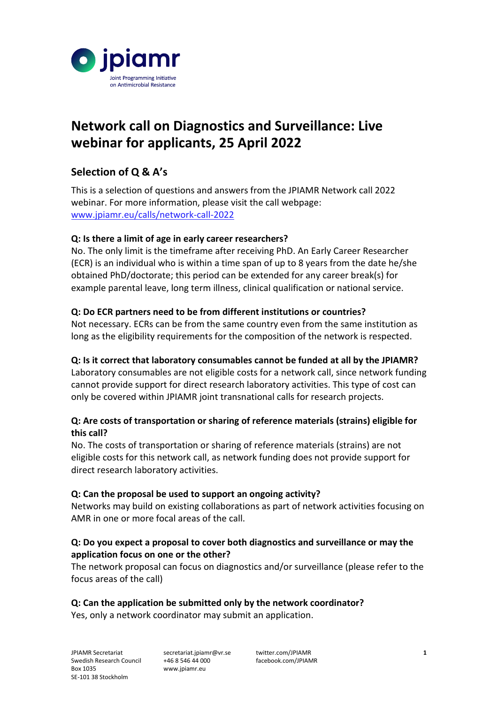

# **Network call on Diagnostics and Surveillance: Live webinar for applicants, 25 April 2022**

## **Selection of Q & A's**

This is a selection of questions and answers from the JPIAMR Network call 2022 webinar. For more information, please visit the call webpage: [www.jpiamr.eu/calls/network-call-2022](https://www.jpiamr.eu/calls/network-call-2022) 

## **Q: Is there a limit of age in early career researchers?**

No. The only limit is the timeframe after receiving PhD. An Early Career Researcher (ECR) is an individual who is within a time span of up to 8 years from the date he/she obtained PhD/doctorate; this period can be extended for any career break(s) for example parental leave, long term illness, clinical qualification or national service.

## **Q: Do ECR partners need to be from different institutions or countries?**

Not necessary. ECRs can be from the same country even from the same institution as long as the eligibility requirements for the composition of the network is respected.

## **Q: Is it correct that laboratory consumables cannot be funded at all by the JPIAMR?**

Laboratory consumables are not eligible costs for a network call, since network funding cannot provide support for direct research laboratory activities. This type of cost can only be covered within JPIAMR joint transnational calls for research projects.

## **Q: Are costs of transportation or sharing of reference materials (strains) eligible for this call?**

No. The costs of transportation or sharing of reference materials (strains) are not eligible costs for this network call, as network funding does not provide support for direct research laboratory activities.

## **Q: Can the proposal be used to support an ongoing activity?**

Networks may build on existing collaborations as part of network activities focusing on AMR in one or more focal areas of the call.

## **Q: Do you expect a proposal to cover both diagnostics and surveillance or may the application focus on one or the other?**

The network proposal can focus on diagnostics and/or surveillance (please refer to the focus areas of the call)

## **Q: Can the application be submitted only by the network coordinator?**

Yes, only a network coordinator may submit an application.

secretariat.jpiamr@vr.se +46 8 546 44 000 www.jpiamr.eu

twitter.com/JPIAMR facebook.com/JPIAMR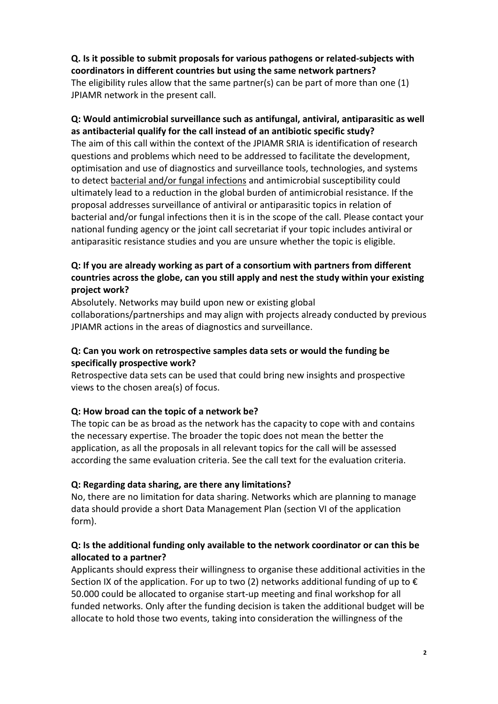**Q. Is it possible to submit proposals for various pathogens or related-subjects with coordinators in different countries but using the same network partners?** The eligibility rules allow that the same partner(s) can be part of more than one  $(1)$ JPIAMR network in the present call.

#### **Q: Would antimicrobial surveillance such as antifungal, antiviral, antiparasitic as well as antibacterial qualify for the call instead of an antibiotic specific study?**

The aim of this call within the context of the JPIAMR SRIA is identification of research questions and problems which need to be addressed to facilitate the development, optimisation and use of diagnostics and surveillance tools, technologies, and systems to detect bacterial and/or fungal infections and antimicrobial susceptibility could ultimately lead to a reduction in the global burden of antimicrobial resistance. If the proposal addresses surveillance of antiviral or antiparasitic topics in relation of bacterial and/or fungal infections then it is in the scope of the call. Please contact your national funding agency or the joint call secretariat if your topic includes antiviral or antiparasitic resistance studies and you are unsure whether the topic is eligible.

## **Q: If you are already working as part of a consortium with partners from different countries across the globe, can you still apply and nest the study within your existing project work?**

Absolutely. Networks may build upon new or existing global collaborations/partnerships and may align with projects already conducted by previous JPIAMR actions in the areas of diagnostics and surveillance.

## **Q: Can you work on retrospective samples data sets or would the funding be specifically prospective work?**

Retrospective data sets can be used that could bring new insights and prospective views to the chosen area(s) of focus.

## **Q: How broad can the topic of a network be?**

The topic can be as broad as the network has the capacity to cope with and contains the necessary expertise. The broader the topic does not mean the better the application, as all the proposals in all relevant topics for the call will be assessed according the same evaluation criteria. See the call text for the evaluation criteria.

## **Q: Regarding data sharing, are there any limitations?**

No, there are no limitation for data sharing. Networks which are planning to manage data should provide a short Data Management Plan (section VI of the application form).

## **Q: Is the additional funding only available to the network coordinator or can this be allocated to a partner?**

Applicants should express their willingness to organise these additional activities in the Section IX of the application. For up to two (2) networks additional funding of up to  $\epsilon$ 50.000 could be allocated to organise start-up meeting and final workshop for all funded networks. Only after the funding decision is taken the additional budget will be allocate to hold those two events, taking into consideration the willingness of the